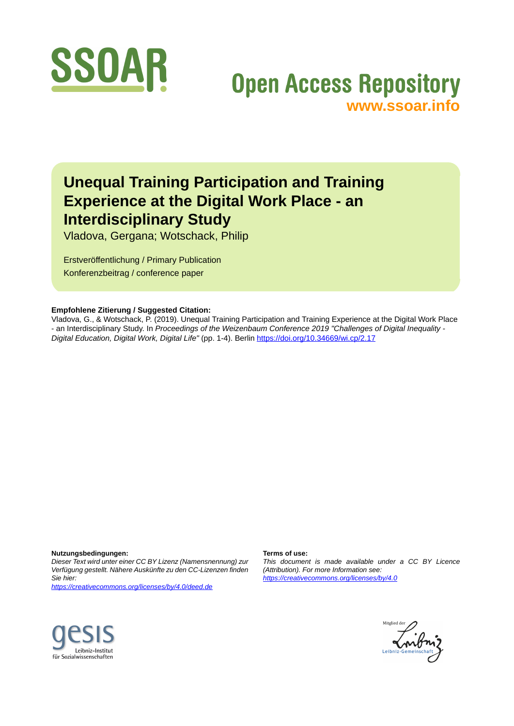

# **Open Access Repository [www.ssoar.info](http://www.ssoar.info)**

## **Unequal Training Participation and Training Experience at the Digital Work Place - an Interdisciplinary Study**

Vladova, Gergana; Wotschack, Philip

Erstveröffentlichung / Primary Publication Konferenzbeitrag / conference paper

#### **Empfohlene Zitierung / Suggested Citation:**

Vladova, G., & Wotschack, P. (2019). Unequal Training Participation and Training Experience at the Digital Work Place - an Interdisciplinary Study. In *Proceedings of the Weizenbaum Conference 2019 "Challenges of Digital Inequality - Digital Education, Digital Work, Digital Life"* (pp. 1-4). Berlin <https://doi.org/10.34669/wi.cp/2.17>

**Nutzungsbedingungen:**

*Dieser Text wird unter einer CC BY Lizenz (Namensnennung) zur Verfügung gestellt. Nähere Auskünfte zu den CC-Lizenzen finden Sie hier:*

*<https://creativecommons.org/licenses/by/4.0/deed.de>*

#### **Terms of use:**

*This document is made available under a CC BY Licence (Attribution). For more Information see: <https://creativecommons.org/licenses/by/4.0>*



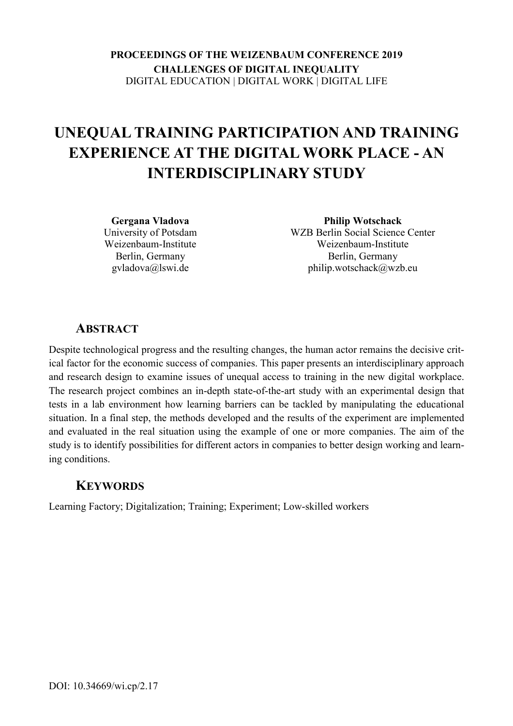**PROCEEDINGS OF THE WEIZENBAUM CONFERENCE 2019 CHALLENGES OF DIGITAL INEQUALITY**  DIGITAL EDUCATION | DIGITAL WORK | DIGITAL LIFE

## **UNEQUAL TRAINING PARTICIPATION AND TRAINING EXPERIENCE AT THE DIGITAL WORK PLACE - AN INTERDISCIPLINARY STUDY**

**Gergana Vladova**  University of Potsdam Weizenbaum-Institute Berlin, Germany gvladova@lswi.de

**Philip Wotschack**  WZB Berlin Social Science Center Weizenbaum-Institute Berlin, Germany philip.wotschack@wzb.eu

#### **ABSTRACT**

Despite technological progress and the resulting changes, the human actor remains the decisive critical factor for the economic success of companies. This paper presents an interdisciplinary approach and research design to examine issues of unequal access to training in the new digital workplace. The research project combines an in-depth state-of-the-art study with an experimental design that tests in a lab environment how learning barriers can be tackled by manipulating the educational situation. In a final step, the methods developed and the results of the experiment are implemented and evaluated in the real situation using the example of one or more companies. The aim of the study is to identify possibilities for different actors in companies to better design working and learning conditions.

#### **KEYWORDS**

Learning Factory; Digitalization; Training; Experiment; Low-skilled workers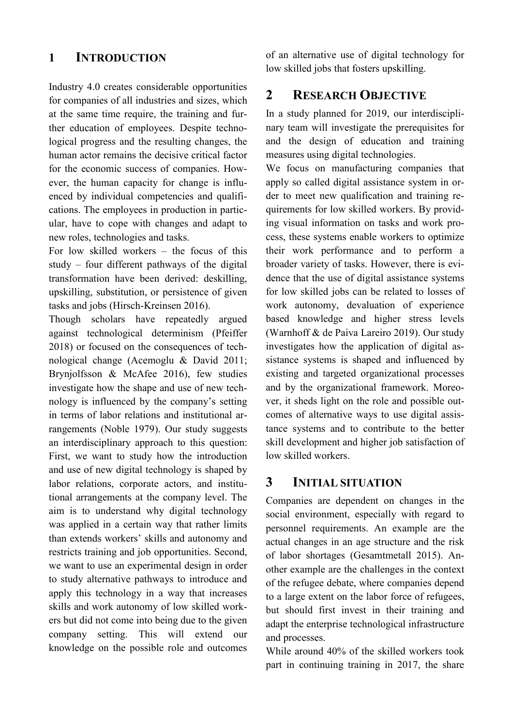#### **1 INTRODUCTION**

Industry 4.0 creates considerable opportunities for companies of all industries and sizes, which at the same time require, the training and further education of employees. Despite technological progress and the resulting changes, the human actor remains the decisive critical factor for the economic success of companies. However, the human capacity for change is influenced by individual competencies and qualifications. The employees in production in particular, have to cope with changes and adapt to new roles, technologies and tasks.

For low skilled workers – the focus of this study – four different pathways of the digital transformation have been derived: deskilling, upskilling, substitution, or persistence of given tasks and jobs (Hirsch-Kreinsen 2016).

Though scholars have repeatedly argued against technological determinism (Pfeiffer 2018) or focused on the consequences of technological change (Acemoglu & David 2011; Brynjolfsson & McAfee 2016), few studies investigate how the shape and use of new technology is influenced by the company's setting in terms of labor relations and institutional arrangements (Noble 1979). Our study suggests an interdisciplinary approach to this question: First, we want to study how the introduction and use of new digital technology is shaped by labor relations, corporate actors, and institutional arrangements at the company level. The aim is to understand why digital technology was applied in a certain way that rather limits than extends workers' skills and autonomy and restricts training and job opportunities. Second, we want to use an experimental design in order to study alternative pathways to introduce and apply this technology in a way that increases skills and work autonomy of low skilled workers but did not come into being due to the given company setting. This will extend our knowledge on the possible role and outcomes

of an alternative use of digital technology for low skilled jobs that fosters upskilling.

### **2 RESEARCH OBJECTIVE**

In a study planned for 2019, our interdisciplinary team will investigate the prerequisites for and the design of education and training measures using digital technologies.

We focus on manufacturing companies that apply so called digital assistance system in order to meet new qualification and training requirements for low skilled workers. By providing visual information on tasks and work process, these systems enable workers to optimize their work performance and to perform a broader variety of tasks. However, there is evidence that the use of digital assistance systems for low skilled jobs can be related to losses of work autonomy, devaluation of experience based knowledge and higher stress levels (Warnhoff & de Paiva Lareiro 2019). Our study investigates how the application of digital assistance systems is shaped and influenced by existing and targeted organizational processes and by the organizational framework. Moreover, it sheds light on the role and possible outcomes of alternative ways to use digital assistance systems and to contribute to the better skill development and higher job satisfaction of low skilled workers.

#### **3 INITIAL SITUATION**

Companies are dependent on changes in the social environment, especially with regard to personnel requirements. An example are the actual changes in an age structure and the risk of labor shortages (Gesamtmetall 2015). Another example are the challenges in the context of the refugee debate, where companies depend to a large extent on the labor force of refugees, but should first invest in their training and adapt the enterprise technological infrastructure and processes.

While around 40% of the skilled workers took part in continuing training in 2017, the share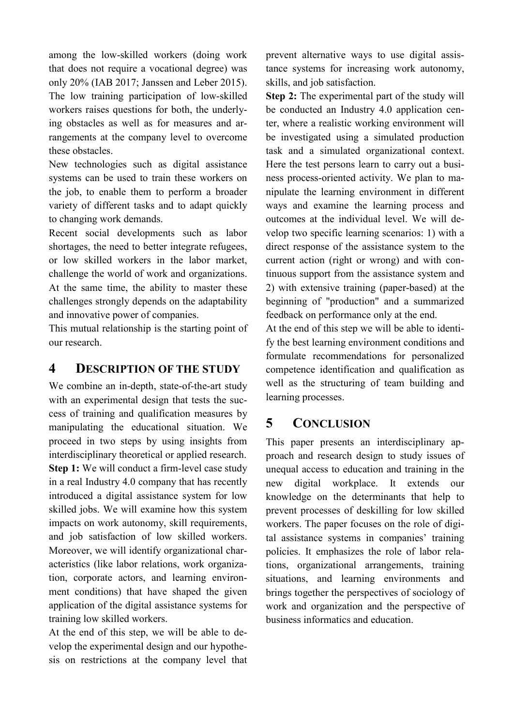among the low-skilled workers (doing work that does not require a vocational degree) was only 20% (IAB 2017; Janssen and Leber 2015). The low training participation of low-skilled workers raises questions for both, the underlying obstacles as well as for measures and arrangements at the company level to overcome these obstacles.

New technologies such as digital assistance systems can be used to train these workers on the job, to enable them to perform a broader variety of different tasks and to adapt quickly to changing work demands.

Recent social developments such as labor shortages, the need to better integrate refugees, or low skilled workers in the labor market, challenge the world of work and organizations. At the same time, the ability to master these challenges strongly depends on the adaptability and innovative power of companies.

This mutual relationship is the starting point of our research.

#### **4 DESCRIPTION OF THE STUDY**

We combine an in-depth, state-of-the-art study with an experimental design that tests the success of training and qualification measures by manipulating the educational situation. We proceed in two steps by using insights from interdisciplinary theoretical or applied research. **Step 1:** We will conduct a firm-level case study in a real Industry 4.0 company that has recently introduced a digital assistance system for low skilled jobs. We will examine how this system impacts on work autonomy, skill requirements, and job satisfaction of low skilled workers. Moreover, we will identify organizational characteristics (like labor relations, work organization, corporate actors, and learning environment conditions) that have shaped the given application of the digital assistance systems for training low skilled workers.

At the end of this step, we will be able to develop the experimental design and our hypothesis on restrictions at the company level that prevent alternative ways to use digital assistance systems for increasing work autonomy, skills, and job satisfaction.

**Step 2:** The experimental part of the study will be conducted an Industry 4.0 application center, where a realistic working environment will be investigated using a simulated production task and a simulated organizational context. Here the test persons learn to carry out a business process-oriented activity. We plan to manipulate the learning environment in different ways and examine the learning process and outcomes at the individual level. We will develop two specific learning scenarios: 1) with a direct response of the assistance system to the current action (right or wrong) and with continuous support from the assistance system and 2) with extensive training (paper-based) at the beginning of "production" and a summarized feedback on performance only at the end.

At the end of this step we will be able to identify the best learning environment conditions and formulate recommendations for personalized competence identification and qualification as well as the structuring of team building and learning processes.

### **5 CONCLUSION**

This paper presents an interdisciplinary approach and research design to study issues of unequal access to education and training in the new digital workplace. It extends our knowledge on the determinants that help to prevent processes of deskilling for low skilled workers. The paper focuses on the role of digital assistance systems in companies' training policies. It emphasizes the role of labor relations, organizational arrangements, training situations, and learning environments and brings together the perspectives of sociology of work and organization and the perspective of business informatics and education.